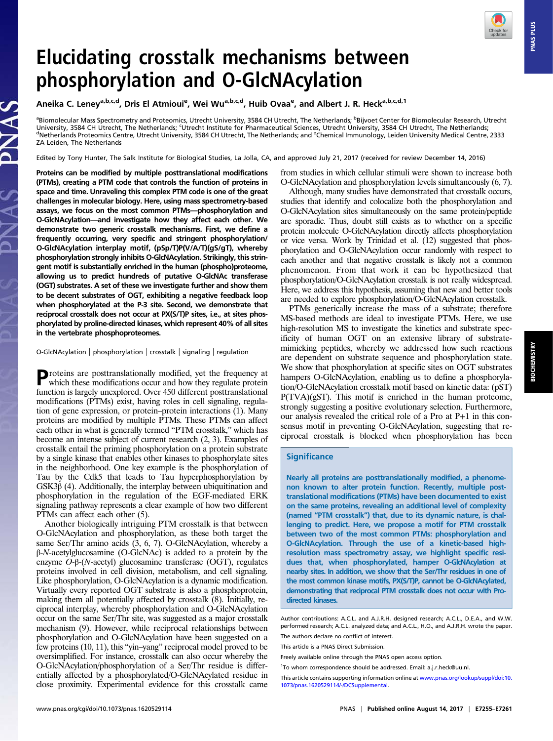

**PINS PLUS** 

# Elucidating crosstalk mechanisms between phosphorylation and O-GlcNAcylation

Aneika C. Leney<sup>a,b,c,d</sup>, Dris El Atmioui<sup>e</sup>, Wei Wu<sup>a,b,c,d</sup>, Huib Ovaa<sup>e</sup>, and Albert J. R. Heck<sup>a,b,c,d,1</sup>

<sup>a</sup>Biomolecular Mass Spectrometry and Proteomics, Utrecht University, 3584 CH Utrecht, The Netherlands; <sup>b</sup>Bijvoet Center for Biomolecular Research, Utrecht University, 3584 CH Utrecht, The Netherlands; <sup>c</sup>Utrecht Institute for Pharmaceutical Sciences, Utrecht University, 3584 CH Utrecht, The Netherlands; <sup>c</sup>uring of the University, 3584 CH Utrecht, The Netherlands; control Netherlands Proteomics Centre, Utrecht University, 3584 CH Utrecht, The Netherlands; and <sup>e</sup>Chemical Immunology, Leiden University Medical Centre, 2333 ZA Leiden, The Netherlands

Edited by Tony Hunter, The Salk Institute for Biological Studies, La Jolla, CA, and approved July 21, 2017 (received for review December 14, 2016)

Proteins can be modified by multiple posttranslational modifications (PTMs), creating a PTM code that controls the function of proteins in space and time. Unraveling this complex PTM code is one of the great challenges in molecular biology. Here, using mass spectrometry-based assays, we focus on the most common PTMs—phosphorylation and O-GlcNAcylation—and investigate how they affect each other. We demonstrate two generic crosstalk mechanisms. First, we define a frequently occurring, very specific and stringent phosphorylation/ O-GlcNAcylation interplay motif, (pSp/T)P(V/A/T)(gS/gT), whereby phosphorylation strongly inhibits O-GlcNAcylation. Strikingly, this stringent motif is substantially enriched in the human (phospho)proteome, allowing us to predict hundreds of putative O-GlcNAc transferase (OGT) substrates. A set of these we investigate further and show them to be decent substrates of OGT, exhibiting a negative feedback loop when phosphorylated at the P-3 site. Second, we demonstrate that reciprocal crosstalk does not occur at PX(S/T)P sites, i.e., at sites phosphorylated by proline-directed kinases, which represent 40% of all sites in the vertebrate phosphoproteomes.

O-GlcNAcylation | phosphorylation | crosstalk | signaling | regulation

Proteins are posttranslationally modified, yet the frequency at which these modifications occur and how they regulate protein function is largely unexplored. Over 450 different posttranslational modifications (PTMs) exist, having roles in cell signaling, regulation of gene expression, or protein–protein interactions (1). Many proteins are modified by multiple PTMs. These PTMs can affect each other in what is generally termed "PTM crosstalk," which has become an intense subject of current research (2, 3). Examples of crosstalk entail the priming phosphorylation on a protein substrate by a single kinase that enables other kinases to phosphorylate sites in the neighborhood. One key example is the phosphorylation of Tau by the Cdk5 that leads to Tau hyperphosphorylation by GSK3β (4). Additionally, the interplay between ubiquitination and phosphorylation in the regulation of the EGF-mediated ERK signaling pathway represents a clear example of how two different PTMs can affect each other (5).

Another biologically intriguing PTM crosstalk is that between O-GlcNAcylation and phosphorylation, as these both target the same Ser/Thr amino acids (3, 6, 7). O-GlcNAcylation, whereby a β-N-acetylglucosamine (O-GlcNAc) is added to a protein by the enzyme O-β-(N-acetyl) glucosamine transferase (OGT), regulates proteins involved in cell division, metabolism, and cell signaling. Like phosphorylation, O-GlcNAcylation is a dynamic modification. Virtually every reported OGT substrate is also a phosphoprotein, making them all potentially affected by crosstalk (8). Initially, reciprocal interplay, whereby phosphorylation and O-GlcNAcylation occur on the same Ser/Thr site, was suggested as a major crosstalk mechanism (9). However, while reciprocal relationships between phosphorylation and O-GlcNAcylation have been suggested on a few proteins (10, 11), this "yin–yang" reciprocal model proved to be oversimplified. For instance, crosstalk can also occur whereby the O-GlcNAcylation/phosphorylation of a Ser/Thr residue is differentially affected by a phosphorylated/O-GlcNAcylated residue in close proximity. Experimental evidence for this crosstalk came from studies in which cellular stimuli were shown to increase both O-GlcNAcylation and phosphorylation levels simultaneously (6, 7).

Although, many studies have demonstrated that crosstalk occurs, studies that identify and colocalize both the phosphorylation and O-GlcNAcylation sites simultaneously on the same protein/peptide are sporadic. Thus, doubt still exists as to whether on a specific protein molecule O-GlcNAcylation directly affects phosphorylation or vice versa. Work by Trinidad et al. (12) suggested that phosphorylation and O-GlcNAcylation occur randomly with respect to each another and that negative crosstalk is likely not a common phenomenon. From that work it can be hypothesized that phosphorylation/O-GlcNAcylation crosstalk is not really widespread. Here, we address this hypothesis, assuming that new and better tools are needed to explore phosphorylation/O-GlcNAcylation crosstalk.

PTMs generically increase the mass of a substrate; therefore MS-based methods are ideal to investigate PTMs. Here, we use high-resolution MS to investigate the kinetics and substrate specificity of human OGT on an extensive library of substratemimicking peptides, whereby we addressed how such reactions are dependent on substrate sequence and phosphorylation state. We show that phosphorylation at specific sites on OGT substrates hampers O-GlcNAcylation, enabling us to define a phosphorylation/O-GlcNAcylation crosstalk motif based on kinetic data: (pST) P(TVA)(gST). This motif is enriched in the human proteome, strongly suggesting a positive evolutionary selection. Furthermore, our analysis revealed the critical role of a Pro at P+1 in this consensus motif in preventing O-GlcNAcylation, suggesting that reciprocal crosstalk is blocked when phosphorylation has been

## **Significance**

Nearly all proteins are posttranslationally modified, a phenomenon known to alter protein function. Recently, multiple posttranslational modifications (PTMs) have been documented to exist on the same proteins, revealing an additional level of complexity (named "PTM crosstalk") that, due to its dynamic nature, is challenging to predict. Here, we propose a motif for PTM crosstalk between two of the most common PTMs: phosphorylation and O-GlcNAcylation. Through the use of a kinetic-based highresolution mass spectrometry assay, we highlight specific residues that, when phosphorylated, hamper O-GlcNAcylation at nearby sites. In addition, we show that the Ser/Thr residues in one of the most common kinase motifs, PX(S/T)P, cannot be O-GlcNAcylated, demonstrating that reciprocal PTM crosstalk does not occur with Prodirected kinases.

Author contributions: A.C.L. and A.J.R.H. designed research; A.C.L., D.E.A., and W.W. performed research; A.C.L. analyzed data; and A.C.L., H.O., and A.J.R.H. wrote the paper.

The authors declare no conflict of interest.

This article is a PNAS Direct Submission.

Freely available online through the PNAS open access option.

<sup>&</sup>lt;sup>1</sup>To whom correspondence should be addressed. Email: [a.j.r.heck@uu.nl.](mailto:a.j.r.heck@uu.nl)

This article contains supporting information online at [www.pnas.org/lookup/suppl/doi:10.](http://www.pnas.org/lookup/suppl/doi:10.1073/pnas.1620529114/-/DCSupplemental) [1073/pnas.1620529114/-/DCSupplemental](http://www.pnas.org/lookup/suppl/doi:10.1073/pnas.1620529114/-/DCSupplemental).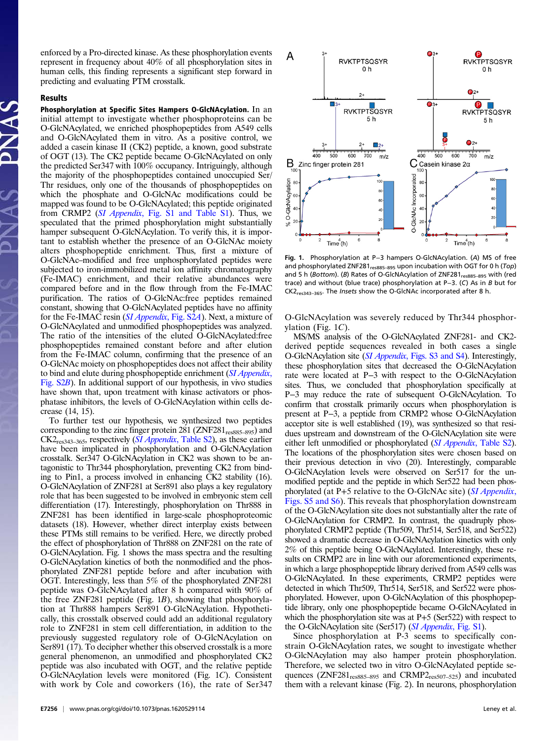enforced by a Pro-directed kinase. As these phosphorylation events represent in frequency about 40% of all phosphorylation sites in human cells, this finding represents a significant step forward in predicting and evaluating PTM crosstalk.

#### Results

Phosphorylation at Specific Sites Hampers O-GlcNAcylation. In an initial attempt to investigate whether phosphoproteins can be O-GlcNAcylated, we enriched phosphopeptides from A549 cells and O-GlcNAcylated them in vitro. As a positive control, we added a casein kinase II (CK2) peptide, a known, good substrate of OGT (13). The CK2 peptide became O-GlcNAcylated on only the predicted Ser347 with 100% occupancy. Intriguingly, although the majority of the phosphopeptides contained unoccupied Ser/ Thr residues, only one of the thousands of phosphopeptides on which the phosphate and O-GlcNAc modifications could be mapped was found to be O-GlcNAcylated; this peptide originated from CRMP2 (SI Appendix[, Fig. S1 and Table S1](http://www.pnas.org/lookup/suppl/doi:10.1073/pnas.1620529114/-/DCSupplemental/pnas.1620529114.sapp.pdf)). Thus, we speculated that the primed phosphorylation might substantially hamper subsequent O-GlcNAcylation. To verify this, it is important to establish whether the presence of an O-GlcNAc moiety alters phosphopeptide enrichment. Thus, first a mixture of O-GlcNAc–modified and free unphosphorylated peptides were subjected to iron-immobilized metal ion affinity chromatography (Fe-IMAC) enrichment, and their relative abundances were compared before and in the flow through from the Fe-IMAC purification. The ratios of O-GlcNAc:free peptides remained constant, showing that O-GlcNAcylated peptides have no affinity for the Fe-IMAC resin ([SI Appendix](http://www.pnas.org/lookup/suppl/doi:10.1073/pnas.1620529114/-/DCSupplemental/pnas.1620529114.sapp.pdf), Fig. S2A). Next, a mixture of O-GlcNAcylated and unmodified phosphopeptides was analyzed. The ratio of the intensities of the eluted O-GlcNAcylated:free phosphopeptides remained constant before and after elution from the Fe-IMAC column, confirming that the presence of an O-GlcNAc moiety on phosphopeptides does not affect their ability to bind and elute during phosphopeptide enrichment ([SI Appendix](http://www.pnas.org/lookup/suppl/doi:10.1073/pnas.1620529114/-/DCSupplemental/pnas.1620529114.sapp.pdf), [Fig. S2](http://www.pnas.org/lookup/suppl/doi:10.1073/pnas.1620529114/-/DCSupplemental/pnas.1620529114.sapp.pdf)B). In additional support of our hypothesis, in vivo studies have shown that, upon treatment with kinase activators or phosphatase inhibitors, the levels of O-GlcNAcylation within cells decrease (14, 15).

To further test our hypothesis, we synthesized two peptides corresponding to the zinc finger protein 281 (ZNF281<sub>res885-895</sub>) and  $CK2_{res343-365}$ , respectively (*SI Appendix*[, Table S2](http://www.pnas.org/lookup/suppl/doi:10.1073/pnas.1620529114/-/DCSupplemental/pnas.1620529114.sapp.pdf)), as these earlier have been implicated in phosphorylation and O-GlcNAcylation crosstalk. Ser347 O-GlcNAcylation in CK2 was shown to be antagonistic to Thr344 phosphorylation, preventing CK2 from binding to Pin1, a process involved in enhancing CK2 stability (16). O-GlcNAcylation of ZNF281 at Ser891 also plays a key regulatory role that has been suggested to be involved in embryonic stem cell differentiation (17). Interestingly, phosphorylation on Thr888 in ZNF281 has been identified in large-scale phosphoproteomic datasets (18). However, whether direct interplay exists between these PTMs still remains to be verified. Here, we directly probed the effect of phosphorylation of Thr888 on ZNF281 on the rate of O-GlcNAcylation. Fig. 1 shows the mass spectra and the resulting O-GlcNAcylation kinetics of both the nonmodified and the phosphorylated ZNF281 peptide before and after incubation with OGT. Interestingly, less than 5% of the phosphorylated ZNF281 peptide was O-GlcNAcylated after 8 h compared with 90% of the free ZNF281 peptide (Fig. 1B), showing that phosphorylation at Thr888 hampers Ser891 O-GlcNAcylation. Hypothetically, this crosstalk observed could add an additional regulatory role to ZNF281 in stem cell differentiation, in addition to the previously suggested regulatory role of O-GlcNAcylation on Ser891 (17). To decipher whether this observed crosstalk is a more general phenomenon, an unmodified and phosphorylated CK2 peptide was also incubated with OGT, and the relative peptide O-GlcNAcylation levels were monitored (Fig. 1C). Consistent with work by Cole and coworkers (16), the rate of Ser347



Fig. 1. Phosphorylation at P−3 hampers O-GlcNAcylation. (A) MS of free and phosphorylated ZNF281<sub>res885-895</sub> upon incubation with OGT for 0 h (Top) and 5 h (Bottom). (B) Rates of O-GlcNAcylation of ZNF281<sub>res885-895</sub> with (red trace) and without (blue trace) phosphorylation at P−3. (C) As in B but for CK2res343–365. The Insets show the O-GlcNAc incorporated after 8 h.

O-GlcNAcylation was severely reduced by Thr344 phosphorylation (Fig. 1C).

MS/MS analysis of the O-GlcNAcylated ZNF281- and CK2 derived peptide sequences revealed in both cases a single O-GlcNAcylation site (SI Appendix[, Figs. S3 and S4](http://www.pnas.org/lookup/suppl/doi:10.1073/pnas.1620529114/-/DCSupplemental/pnas.1620529114.sapp.pdf)). Interestingly, these phosphorylation sites that decreased the O-GlcNAcylation rate were located at P−3 with respect to the O-GlcNAcylation sites. Thus, we concluded that phosphorylation specifically at P−3 may reduce the rate of subsequent O-GlcNAcylation. To confirm that crosstalk primarily occurs when phosphorylation is present at P−3, a peptide from CRMP2 whose O-GlcNAcylation acceptor site is well established (19), was synthesized so that residues upstream and downstream of the O-GlcNAcylation site were either left unmodified or phosphorylated (SI Appendix[, Table S2](http://www.pnas.org/lookup/suppl/doi:10.1073/pnas.1620529114/-/DCSupplemental/pnas.1620529114.sapp.pdf)). The locations of the phosphorylation sites were chosen based on their previous detection in vivo (20). Interestingly, comparable O-GlcNAcylation levels were observed on Ser517 for the unmodified peptide and the peptide in which Ser522 had been phosphorylated (at P+5 relative to the O-GlcNAc site) ([SI Appendix](http://www.pnas.org/lookup/suppl/doi:10.1073/pnas.1620529114/-/DCSupplemental/pnas.1620529114.sapp.pdf), [Figs. S5 and S6\)](http://www.pnas.org/lookup/suppl/doi:10.1073/pnas.1620529114/-/DCSupplemental/pnas.1620529114.sapp.pdf). This reveals that phosphorylation downstream of the O-GlcNAcylation site does not substantially alter the rate of O-GlcNAcylation for CRMP2. In contrast, the quadruply phosphorylated CRMP2 peptide (Thr509, Thr514, Ser518, and Ser522) showed a dramatic decrease in O-GlcNAcylation kinetics with only 2% of this peptide being O-GlcNAcylated. Interestingly, these results on CRMP2 are in line with our aforementioned experiments, in which a large phosphopeptide library derived from A549 cells was O-GlcNAcylated. In these experiments, CRMP2 peptides were detected in which Thr509, Thr514, Ser518, and Ser522 were phosphorylated. However, upon O-GlcNAcylation of this phosphopeptide library, only one phosphopeptide became O-GlcNAcylated in which the phosphorylation site was at P+5 (Ser522) with respect to the O-GlcNAcylation site (Ser517) ([SI Appendix](http://www.pnas.org/lookup/suppl/doi:10.1073/pnas.1620529114/-/DCSupplemental/pnas.1620529114.sapp.pdf), Fig. S1).

Since phosphorylation at P-3 seems to specifically constrain O-GlcNAcylation rates, we sought to investigate whether O-GlcNAcylation may also hamper protein phosphorylation. Therefore, we selected two in vitro O-GlcNAcylated peptide sequences (ZNF281<sub>res885-895</sub> and CRMP2<sub>res507-525</sub>) and incubated them with a relevant kinase (Fig. 2). In neurons, phosphorylation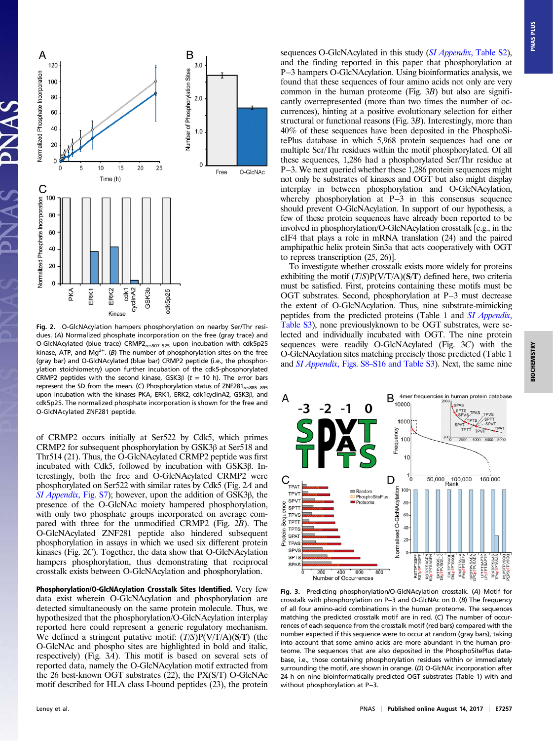

Fig. 2. O-GlcNAcylation hampers phosphorylation on nearby Ser/Thr residues. (A) Normalized phosphate incorporation on the free (gray trace) and O-GlcNAcylated (blue trace) CRMP2<sub>res507-525</sub> upon incubation with cdk5p25 kinase, ATP, and Mg<sup>2+</sup>. (B) The number of phosphorylation sites on the free (gray bar) and O-GlcNAcylated (blue bar) CRMP2 peptide (i.e., the phosphorylation stoichiometry) upon further incubation of the cdk5-phosphorylated CRMP2 peptides with the second kinase, GSK3 $\beta$  ( $t = 10$  h). The error bars represent the SD from the mean. (C) Phosphorylation status of ZNF281<sub>res885-895</sub> upon incubation with the kinases PKA, ERK1, ERK2, cdk1cyclinA2, GSK3β, and cdk5p25. The normalized phosphate incorporation is shown for the free and O-GlcNAcylated ZNF281 peptide.

of CRMP2 occurs initially at Ser522 by Cdk5, which primes CRMP2 for subsequent phosphorylation by GSK3β at Ser518 and Thr514 (21). Thus, the O-GlcNAcylated CRMP2 peptide was first incubated with Cdk5, followed by incubation with GSK3β. Interestingly, both the free and O-GlcNAcylated CRMP2 were phosphorylated on Ser522 with similar rates by Cdk5 (Fig. 2A and [SI Appendix](http://www.pnas.org/lookup/suppl/doi:10.1073/pnas.1620529114/-/DCSupplemental/pnas.1620529114.sapp.pdf), Fig. S7); however, upon the addition of GSK3β, the presence of the O-GlcNAc moiety hampered phosphorylation, with only two phosphate groups incorporated on average compared with three for the unmodified CRMP2 (Fig. 2B). The O-GlcNAcylated ZNF281 peptide also hindered subsequent phosphorylation in assays in which we used six different protein kinases (Fig. 2C). Together, the data show that O-GlcNAcylation hampers phosphorylation, thus demonstrating that reciprocal crosstalk exists between O-GlcNAcylation and phosphorylation.

Phosphorylation/O-GlcNAcylation Crosstalk Sites Identified. Very few data exist wherein O-GlcNAcylation and phosphorylation are detected simultaneously on the same protein molecule. Thus, we hypothesized that the phosphorylation/O-GlcNAcylation interplay reported here could represent a generic regulatory mechanism. We defined a stringent putative motif:  $(T/S)P(V/T/A)(S/T)$  (the O-GlcNAc and phospho sites are highlighted in bold and italic, respectively) (Fig. 3A). This motif is based on several sets of reported data, namely the O-GlcNAcylation motif extracted from the 26 best-known OGT substrates (22), the PX(S/T) O-GlcNAc motif described for HLA class I-bound peptides (23), the protein

sequences O-GlcNAcylated in this study (*SI Appendix*[, Table S2](http://www.pnas.org/lookup/suppl/doi:10.1073/pnas.1620529114/-/DCSupplemental/pnas.1620529114.sapp.pdf)), and the finding reported in this paper that phosphorylation at P−3 hampers O-GlcNAcylation. Using bioinformatics analysis, we found that these sequences of four amino acids not only are very common in the human proteome (Fig. 3B) but also are significantly overrepresented (more than two times the number of occurrences), hinting at a positive evolutionary selection for either structural or functional reasons (Fig. 3B). Interestingly, more than 40% of these sequences have been deposited in the PhosphoSitePlus database in which 5,968 protein sequences had one or multiple Ser/Thr residues within the motif phosphorylated. Of all these sequences, 1,286 had a phosphorylated Ser/Thr residue at P−3. We next queried whether these 1,286 protein sequences might not only be substrates of kinases and OGT but also might display interplay in between phosphorylation and O-GlcNAcylation, whereby phosphorylation at P−3 in this consensus sequence should prevent O-GlcNAcylation. In support of our hypothesis, a few of these protein sequences have already been reported to be involved in phosphorylation/O-GlcNAcylation crosstalk [e.g., in the eIF4 that plays a role in mRNA translation (24) and the paired amphipathic helix protein Sin3a that acts cooperatively with OGT to repress transcription (25, 26)].

To investigate whether crosstalk exists more widely for proteins exhibiting the motif  $(T/S)P(V/T/A)(S/T)$  defined here, two criteria must be satisfied. First, proteins containing these motifs must be OGT substrates. Second, phosphorylation at P−3 must decrease the extent of O-GlcNAcylation. Thus, nine substrate-mimicking peptides from the predicted proteins (Table 1 and [SI Appendix](http://www.pnas.org/lookup/suppl/doi:10.1073/pnas.1620529114/-/DCSupplemental/pnas.1620529114.sapp.pdf), [Table S3](http://www.pnas.org/lookup/suppl/doi:10.1073/pnas.1620529114/-/DCSupplemental/pnas.1620529114.sapp.pdf)), none previouslyknown to be OGT substrates, were selected and individually incubated with OGT. The nine protein sequences were readily O-GlcNAcylated (Fig. 3C) with the O-GlcNAcylation sites matching precisely those predicted (Table 1 and SI Appendix[, Figs. S8](http://www.pnas.org/lookup/suppl/doi:10.1073/pnas.1620529114/-/DCSupplemental/pnas.1620529114.sapp.pdf)–[S16 and Table S3\)](http://www.pnas.org/lookup/suppl/doi:10.1073/pnas.1620529114/-/DCSupplemental/pnas.1620529114.sapp.pdf). Next, the same nine



Fig. 3. Predicting phosphorylation/O-GlcNAcylation crosstalk. (A) Motif for crosstalk with phosphorylation on P−3 and O-GlcNAc on 0. (B) The frequency of all four amino-acid combinations in the human proteome. The sequences matching the predicted crosstalk motif are in red. (C) The number of occurrences of each sequence from the crosstalk motif (red bars) compared with the number expected if this sequence were to occur at random (gray bars), taking into account that some amino acids are more abundant in the human proteome. The sequences that are also deposited in the PhosphoSitePlus database, i.e., those containing phosphorylation residues within or immediately surrounding the motif, are shown in orange. (D) O-GlcNAc incorporation after 24 h on nine bioinformatically predicted OGT substrates (Table 1) with and without phosphorylation at P−3.

**PNAS PLUS**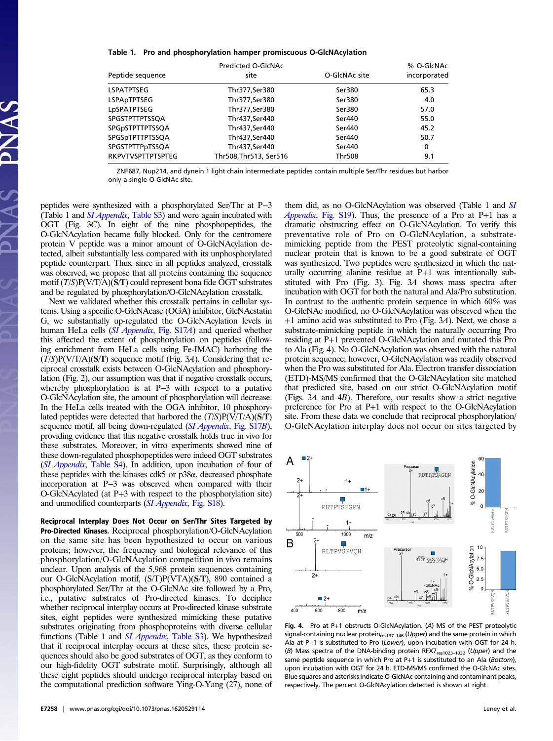Table 1. Pro and phosphorylation hamper promiscuous O-GlcNAcylation

|                          | Predicted O-GlcNAc       |               | % O-GlcNAc   |
|--------------------------|--------------------------|---------------|--------------|
| Peptide sequence         | site                     | O-GIcNAc site | incorporated |
| <b>LSPATPTSEG</b>        | Thr377,Ser380            | Ser380        | 65.3         |
| <b>LSPApTPTSEG</b>       | Thr377, Ser380           | Ser380        | 4.0          |
| LpSPATPTSEG              | Thr377, Ser380           | Ser380        | 57.0         |
| <b>SPGSTPTTPTSSQA</b>    | Thr437, Ser440           | Ser440        | 55.0         |
| <b>SPGpSTPTTPTSSQA</b>   | Thr437.Ser440            | Ser440        | 45.2         |
| <b>SPGSpTPTTPTSSQA</b>   | Thr437, Ser440           | Ser440        | 50.7         |
| <b>SPGSTPTTPpTSSQA</b>   | Thr437, Ser440           | Ser440        | 0            |
| <b>RKPVTVSPTTPTSPTEG</b> | Thr508, Thr 513, Ser 516 | <b>Thr508</b> | 9.1          |

ZNF687, Nup214, and dynein 1 light chain intermediate peptides contain multiple Ser/Thr residues but harbor only a single O-GlcNAc site.

peptides were synthesized with a phosphorylated Ser/Thr at P−3 (Table 1 and *SI Appendix*[, Table S3](http://www.pnas.org/lookup/suppl/doi:10.1073/pnas.1620529114/-/DCSupplemental/pnas.1620529114.sapp.pdf)) and were again incubated with OGT (Fig. 3C). In eight of the nine phosphopeptides, the O-GlcNAcylation became fully blocked. Only for the centromere protein V peptide was a minor amount of O-GlcNAcylation detected, albeit substantially less compared with its unphosphorylated peptide counterpart. Thus, since in all peptides analyzed, crosstalk was observed, we propose that all proteins containing the sequence motif  $(T/S)P(V/T/A)(S/T)$  could represent bona fide OGT substrates and be regulated by phosphorylation/O-GlcNAcylation crosstalk.

Next we validated whether this crosstalk pertains in cellular systems. Using a specific O-GlcNAcase (OGA) inhibitor, GlcNAcstatin G, we substantially up-regulated the O-GlcNAcylation levels in human HeLa cells (SI Appendix[, Fig. S17](http://www.pnas.org/lookup/suppl/doi:10.1073/pnas.1620529114/-/DCSupplemental/pnas.1620529114.sapp.pdf)A) and queried whether this affected the extent of phosphorylation on peptides (following enrichment from HeLa cells using Fe-IMAC) harboring the  $(T/S)P(V/T/A)(S/T)$  sequence motif (Fig. 3A). Considering that reciprocal crosstalk exists between O-GlcNAcylation and phosphorylation (Fig. 2), our assumption was that if negative crosstalk occurs, whereby phosphorylation is at P−3 with respect to a putative O-GlcNAcylation site, the amount of phosphorylation will decrease. In the HeLa cells treated with the OGA inhibitor, 10 phosphorylated peptides were detected that harbored the  $(T/S)P(V/T/A)(S/T)$ sequence motif, all being down-regulated (SI Appendix[, Fig. S17](http://www.pnas.org/lookup/suppl/doi:10.1073/pnas.1620529114/-/DCSupplemental/pnas.1620529114.sapp.pdf)B), providing evidence that this negative crosstalk holds true in vivo for these substrates. Moreover, in vitro experiments showed nine of these down-regulated phosphopeptides were indeed OGT substrates (SI Appendix[, Table S4\)](http://www.pnas.org/lookup/suppl/doi:10.1073/pnas.1620529114/-/DCSupplemental/pnas.1620529114.sapp.pdf). In addition, upon incubation of four of these peptides with the kinases cdk5 or p38α, decreased phosphate incorporation at P−3 was observed when compared with their O-GlcNAcylated (at P+3 with respect to the phosphorylation site) and unmodified counterparts (SI Appendix[, Fig. S18\)](http://www.pnas.org/lookup/suppl/doi:10.1073/pnas.1620529114/-/DCSupplemental/pnas.1620529114.sapp.pdf).

Reciprocal Interplay Does Not Occur on Ser/Thr Sites Targeted by Pro-Directed Kinases. Reciprocal phosphorylation/O-GlcNAcylation on the same site has been hypothesized to occur on various proteins; however, the frequency and biological relevance of this phosphorylation/O-GlcNAcylation competition in vivo remains unclear. Upon analysis of the 5,968 protein sequences containing our O-GlcNAcylation motif, (S/T)P(VTA)(S/T), 890 contained a phosphorylated Ser/Thr at the O-GlcNAc site followed by a Pro, i.e., putative substrates of Pro-directed kinases. To decipher whether reciprocal interplay occurs at Pro-directed kinase substrate sites, eight peptides were synthesized mimicking these putative substrates originating from phosphoproteins with diverse cellular functions (Table 1 and *SI Appendix*[, Table S3](http://www.pnas.org/lookup/suppl/doi:10.1073/pnas.1620529114/-/DCSupplemental/pnas.1620529114.sapp.pdf)). We hypothesized that if reciprocal interplay occurs at these sites, these protein sequences should also be good substrates of OGT, as they conform to our high-fidelity OGT substrate motif. Surprisingly, although all these eight peptides should undergo reciprocal interplay based on the computational prediction software Ying-O-Yang (27), none of them did, as no O-GlcNAcylation was observed (Table 1 and [SI](http://www.pnas.org/lookup/suppl/doi:10.1073/pnas.1620529114/-/DCSupplemental/pnas.1620529114.sapp.pdf) Appendix[, Fig. S19\)](http://www.pnas.org/lookup/suppl/doi:10.1073/pnas.1620529114/-/DCSupplemental/pnas.1620529114.sapp.pdf). Thus, the presence of a Pro at P+1 has a dramatic obstructing effect on O-GlcNAcylation. To verify this preventative role of Pro on O-GlcNAcylation, a substratemimicking peptide from the PEST proteolytic signal-containing nuclear protein that is known to be a good substrate of OGT was synthesized. Two peptides were synthesized in which the naturally occurring alanine residue at P+1 was intentionally substituted with Pro (Fig. 3). Fig. 3A shows mass spectra after incubation with OGT for both the natural and Ala/Pro substitution. In contrast to the authentic protein sequence in which 60% was O-GlcNAc modified, no O-GlcNAcylation was observed when the +1 amino acid was substituted to Pro (Fig. 3A). Next, we chose a substrate-mimicking peptide in which the naturally occurring Pro residing at P+1 prevented O-GlcNAcylation and mutated this Pro to Ala (Fig. 4). No O-GlcNAcylation was observed with the natural protein sequence; however, O-GlcNAcylation was readily observed when the Pro was substituted for Ala. Electron transfer dissociation (ETD)-MS/MS confirmed that the O-GlcNAcylation site matched that predicted site, based on our strict O-GlcNAcylation motif (Figs. 3A and 4B). Therefore, our results show a strict negative preference for Pro at P+1 with respect to the O-GlcNAcylation site. From these data we conclude that reciprocal phosphorylation/ O-GlcNAcylation interplay does not occur on sites targeted by



Fig. 4. Pro at P+1 obstructs O-GlcNAcylation. (A) MS of the PEST proteolytic signal-containing nuclear protein<sub>res137-146</sub> (Upper) and the same protein in which Ala at P+1 is substituted to Pro (Lower), upon incubation with OGT for 24 h. (B) Mass spectra of the DNA-binding protein RFX7<sub>res1023-1032</sub> (Upper) and the same peptide sequence in which Pro at P+1 is substituted to an Ala (Bottom), upon incubation with OGT for 24 h. ETD-MS/MS confirmed the O-GlcNAc sites. Blue squares and asterisks indicate O-GlcNAc-containing and contaminant peaks, respectively. The percent O-GlcNAcylation detected is shown at right.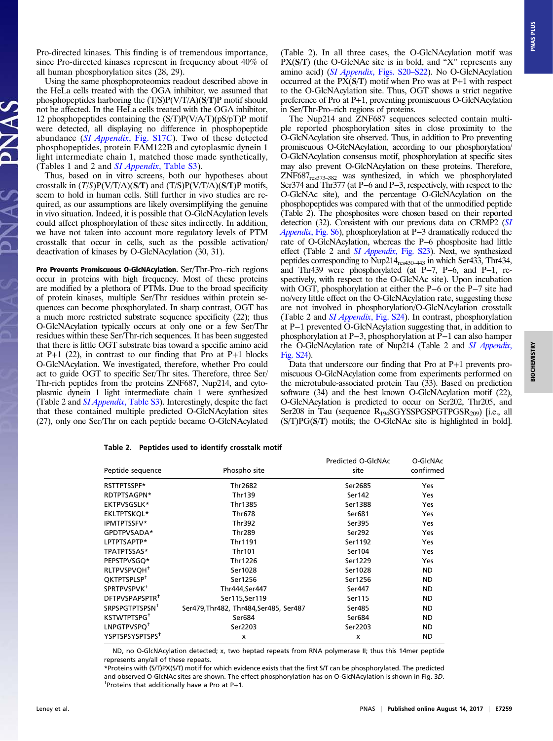Pro-directed kinases. This finding is of tremendous importance, since Pro-directed kinases represent in frequency about 40% of all human phosphorylation sites (28, 29).

Using the same phosphoproteomics readout described above in the HeLa cells treated with the OGA inhibitor, we assumed that phosphopeptides harboring the  $(T/S)P(V/T/A)(S/T)P$  motif should not be affected. In the HeLa cells treated with the OGA inhibitor, 12 phosphopeptides containing the  $(S/T)P(V/A/T)(pS/pT)P$  motif were detected, all displaying no difference in phosphopeptide abundance (*SI Appendix*[, Fig. S17](http://www.pnas.org/lookup/suppl/doi:10.1073/pnas.1620529114/-/DCSupplemental/pnas.1620529114.sapp.pdf)C). Two of these detected phosphopeptides, protein FAM122B and cytoplasmic dynein 1 light intermediate chain 1, matched those made synthetically, (Tables 1 and 2 and *SI Appendix*[, Table S3\)](http://www.pnas.org/lookup/suppl/doi:10.1073/pnas.1620529114/-/DCSupplemental/pnas.1620529114.sapp.pdf).

Thus, based on in vitro screens, both our hypotheses about crosstalk in  $(T/S)P(V/T/A)(S/T)$  and  $(T/S)P(V/T/A)(S/T)P$  motifs, seem to hold in human cells. Still further in vivo studies are required, as our assumptions are likely oversimplifying the genuine in vivo situation. Indeed, it is possible that O-GlcNAcylation levels could affect phosphorylation of these sites indirectly. In addition, we have not taken into account more regulatory levels of PTM crosstalk that occur in cells, such as the possible activation/ deactivation of kinases by O-GlcNAcylation (30, 31).

Pro Prevents Promiscuous O-GlcNAcylation. Ser/Thr-Pro–rich regions occur in proteins with high frequency. Most of these proteins are modified by a plethora of PTMs. Due to the broad specificity of protein kinases, multiple Ser/Thr residues within protein sequences can become phosphorylated. In sharp contrast, OGT has a much more restricted substrate sequence specificity (22); thus O-GlcNAcylation typically occurs at only one or a few Ser/Thr residues within these Ser/Thr-rich sequences. It has been suggested that there is little OGT substrate bias toward a specific amino acid at P+1 (22), in contrast to our finding that Pro at P+1 blocks O-GlcNAcylation. We investigated, therefore, whether Pro could act to guide OGT to specific Ser/Thr sites. Therefore, three Ser/ Thr-rich peptides from the proteins ZNF687, Nup214, and cytoplasmic dynein 1 light intermediate chain 1 were synthesized (Table 2 and *SI Appendix*[, Table S3\)](http://www.pnas.org/lookup/suppl/doi:10.1073/pnas.1620529114/-/DCSupplemental/pnas.1620529114.sapp.pdf). Interestingly, despite the fact that these contained multiple predicted O-GlcNAcylation sites (27), only one Ser/Thr on each peptide became O-GlcNAcylated

(Table 2). In all three cases, the O-GlcNAcylation motif was PX(S/T) (the O-GlcNAc site is in bold, and "X" represents any amino acid) (SI Appendix[, Figs. S20](http://www.pnas.org/lookup/suppl/doi:10.1073/pnas.1620529114/-/DCSupplemental/pnas.1620529114.sapp.pdf)-[S22](http://www.pnas.org/lookup/suppl/doi:10.1073/pnas.1620529114/-/DCSupplemental/pnas.1620529114.sapp.pdf)). No O-GlcNAcylation occurred at the PX(S/T) motif when Pro was at P+1 with respect to the O-GlcNAcylation site. Thus, OGT shows a strict negative preference of Pro at P+1, preventing promiscuous O-GlcNAcylation in Ser/Thr-Pro–rich regions of proteins.

The Nup214 and ZNF687 sequences selected contain multiple reported phosphorylation sites in close proximity to the O-GlcNAcylation site observed. Thus, in addition to Pro preventing promiscuous O-GlcNAcylation, according to our phosphorylation/ O-GlcNAcylation consensus motif, phosphorylation at specific sites may also prevent O-GlcNAcylation on these proteins. Therefore, ZNF687res373–<sup>382</sup> was synthesized, in which we phosphorylated Ser374 and Thr377 (at P−6 and P−3, respectively, with respect to the O-GlcNAc site), and the percentage O-GlcNAcylation on the phosphopeptides was compared with that of the unmodified peptide (Table 2). The phosphosites were chosen based on their reported detection (32). Consistent with our previous data on CRMP2 ([SI](http://www.pnas.org/lookup/suppl/doi:10.1073/pnas.1620529114/-/DCSupplemental/pnas.1620529114.sapp.pdf) Appendix[, Fig. S6\)](http://www.pnas.org/lookup/suppl/doi:10.1073/pnas.1620529114/-/DCSupplemental/pnas.1620529114.sapp.pdf), phosphorylation at P−3 dramatically reduced the rate of O-GlcNAcylation, whereas the P−6 phosphosite had little effect (Table 2 and SI Appendix[, Fig. S23](http://www.pnas.org/lookup/suppl/doi:10.1073/pnas.1620529114/-/DCSupplemental/pnas.1620529114.sapp.pdf)). Next, we synthesized peptides corresponding to Nup214<sub>res430-443</sub> in which Ser433, Thr434, and Thr439 were phosphorylated (at P−7, P−6, and P−1, respectively, with respect to the O-GlcNAc site). Upon incubation with OGT, phosphorylation at either the P−6 or the P−7 site had no/very little effect on the O-GlcNAcylation rate, suggesting these are not involved in phosphorylation/O-GlcNAcylation crosstalk (Table 2 and [SI Appendix](http://www.pnas.org/lookup/suppl/doi:10.1073/pnas.1620529114/-/DCSupplemental/pnas.1620529114.sapp.pdf), Fig. S24). In contrast, phosphorylation at P−1 prevented O-GlcNAcylation suggesting that, in addition to phosphorylation at P−3, phosphorylation at P−1 can also hamper the O-GlcNAcylation rate of Nup214 (Table 2 and [SI Appendix](http://www.pnas.org/lookup/suppl/doi:10.1073/pnas.1620529114/-/DCSupplemental/pnas.1620529114.sapp.pdf), [Fig. S24\)](http://www.pnas.org/lookup/suppl/doi:10.1073/pnas.1620529114/-/DCSupplemental/pnas.1620529114.sapp.pdf).

Data that underscore our finding that Pro at P+1 prevents promiscuous O-GlcNAcylation come from experiments performed on the microtubule-associated protein Tau (33). Based on prediction software (34) and the best known O-GlcNAcylation motif (22), O-GlcNAcylation is predicted to occur on Ser202, Thr205, and Ser208 in Tau (sequence  $R_{194}$ SGYSSPGSPGTPGS $R_{209}$ ) [i.e., all (S/T)PG(S/T) motifs; the O-GlcNAc site is highlighted in bold].

| Peptide sequence            | Phospho site                           | Predicted O-GlcNAc<br>site | O-GIcNAc<br>confirmed |
|-----------------------------|----------------------------------------|----------------------------|-----------------------|
| RSTTPTSSPF*                 | Thr2682                                | Ser2685                    | Yes                   |
| RDTPTSAGPN*                 | <b>Thr139</b>                          | Ser142                     | Yes                   |
| <b>EKTPVSGSLK*</b>          | Thr1385                                | Ser1388                    | Yes                   |
| <b>EKLTPTSKOL*</b>          | Thr678                                 | Ser681                     | Yes                   |
| IPMTPTSSFV*                 | <b>Thr392</b>                          | Ser395                     | Yes                   |
| GPDTPVSADA*                 | <b>Thr289</b>                          | Ser292                     | Yes                   |
| LPTPTSAPTP*                 | Thr1191                                | Ser1192                    | Yes                   |
| TPATPTSSAS*                 | <b>Thr101</b>                          | Ser104                     | Yes                   |
| PEPSTPVSGO*                 | Thr1226                                | Ser1229                    | Yes                   |
| RLTPVSPVOH <sup>+</sup>     | Ser1028                                | Ser1028                    | <b>ND</b>             |
| QKTPTSPLSP <sup>+</sup>     | Ser1256                                | Ser1256                    | <b>ND</b>             |
| SPRTPVSPVK <sup>+</sup>     | Thr444, Ser447                         | Ser447                     | <b>ND</b>             |
| DFTPVSPAPSPTR <sup>+</sup>  | Ser115, Ser119                         | Ser115                     | <b>ND</b>             |
| SRPSPGTPTSPSN <sup>+</sup>  | Ser479, Thr482, Thr484, Ser485, Ser487 | Ser485                     | <b>ND</b>             |
| KSTWTPTSPG <sup>+</sup>     | Ser684                                 | Ser684                     | ND                    |
| LNPGTPVSPQ <sup>+</sup>     | Ser2203                                | Ser2203                    | ND                    |
| YSPTSPSYSPTSPS <sup>+</sup> | x                                      | x                          | ND                    |

#### Table 2. Peptides used to identify crosstalk motif

ND, no O-GlcNAcylation detected; x, two heptad repeats from RNA polymerase II; thus this 14mer peptide represents any/all of these repeats.

\*Proteins with (S/T)PX(S/T) motif for which evidence exists that the first S/T can be phosphorylated. The predicted and observed O-GlcNAc sites are shown. The effect phosphorylation has on O-GlcNAcylation is shown in Fig. 3D. †  $\overline{P}$ Proteins that additionally have a Pro at P+1.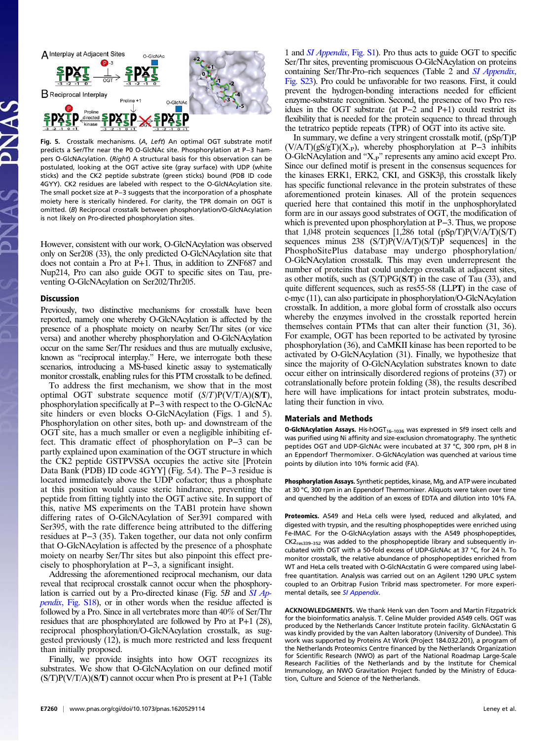

Fig. 5. Crosstalk mechanisms. (A, Left) An optimal OGT substrate motif predicts a Ser/Thr near the P0 O-GlcNAc site. Phosphorylation at P−3 hampers O-GlcNAcylation. (Right) A structural basis for this observation can be postulated, looking at the OGT active site (gray surface) with UDP (white sticks) and the CK2 peptide substrate (green sticks) bound (PDB ID code 4GYY). CK2 residues are labeled with respect to the O-GlcNAcylation site. The small pocket size at P−3 suggests that the incorporation of a phosphate moiety here is sterically hindered. For clarity, the TPR domain on OGT is omitted. (B) Reciprocal crosstalk between phosphorylation/O-GlcNAcylation is not likely on Pro-directed phosphorylation sites.

However, consistent with our work, O-GlcNAcylation was observed only on Ser208 (33), the only predicted O-GlcNAcylation site that does not contain a Pro at P+1. Thus, in addition to ZNF687 and Nup214, Pro can also guide OGT to specific sites on Tau, preventing O-GlcNAcylation on Ser202/Thr205.

### Discussion

Previously, two distinctive mechanisms for crosstalk have been reported, namely one whereby O-GlcNAcylation is affected by the presence of a phosphate moiety on nearby Ser/Thr sites (or vice versa) and another whereby phosphorylation and O-GlcNAcylation occur on the same Ser/Thr residues and thus are mutually exclusive, known as "reciprocal interplay." Here, we interrogate both these scenarios, introducing a MS-based kinetic assay to systematically monitor crosstalk, enabling rules for this PTM crosstalk to be defined.

To address the first mechanism, we show that in the most optimal OGT substrate sequence motif  $(S/T)P(V/T/A)(S/T)$ , phosphorylation specifically at P−3 with respect to the O-GlcNAc site hinders or even blocks O-GlcNAcylation (Figs. 1 and 5). Phosphorylation on other sites, both up- and downstream of the OGT site, has a much smaller or even a negligible inhibiting effect. This dramatic effect of phosphorylation on P−3 can be partly explained upon examination of the OGT structure in which the CK2 peptide GSTPVSSA occupies the active site [Protein Data Bank (PDB) ID code 4GYY] (Fig. 5A). The P−3 residue is located immediately above the UDP cofactor; thus a phosphate at this position would cause steric hindrance, preventing the peptide from fitting tightly into the OGT active site. In support of this, native MS experiments on the TAB1 protein have shown differing rates of O-GlcNAcylation of Ser391 compared with Ser395, with the rate difference being attributed to the differing residues at P−3 (35). Taken together, our data not only confirm that O-GlcNAcylation is affected by the presence of a phosphate moiety on nearby Ser/Thr sites but also pinpoint this effect precisely to phosphorylation at P−3, a significant insight.

Addressing the aforementioned reciprocal mechanism, our data reveal that reciprocal crosstalk cannot occur when the phosphorylation is carried out by a Pro-directed kinase (Fig. 5B and  $SI$  Appendix[, Fig. S18\)](http://www.pnas.org/lookup/suppl/doi:10.1073/pnas.1620529114/-/DCSupplemental/pnas.1620529114.sapp.pdf), or in other words when the residue affected is followed by a Pro. Since in all vertebrates more than 40% of Ser/Thr residues that are phosphorylated are followed by Pro at P+1 (28), reciprocal phosphorylation/O-GlcNAcylation crosstalk, as suggested previously (12), is much more restricted and less frequent than initially proposed.

Finally, we provide insights into how OGT recognizes its substrates. We show that O-GlcNAcylation on our defined motif  $(S/T)P(V/T/A)(S/T)$  cannot occur when Pro is present at P+1 (Table

1 and *[SI Appendix](http://www.pnas.org/lookup/suppl/doi:10.1073/pnas.1620529114/-/DCSupplemental/pnas.1620529114.sapp.pdf)*, Fig. S1). Pro thus acts to guide OGT to specific Ser/Thr sites, preventing promiscuous O-GlcNAcylation on proteins containing Ser/Thr-Pro–rich sequences (Table 2 and *[SI Appendix](http://www.pnas.org/lookup/suppl/doi:10.1073/pnas.1620529114/-/DCSupplemental/pnas.1620529114.sapp.pdf)*, [Fig. S23](http://www.pnas.org/lookup/suppl/doi:10.1073/pnas.1620529114/-/DCSupplemental/pnas.1620529114.sapp.pdf)). Pro could be unfavorable for two reasons. First, it could prevent the hydrogen-bonding interactions needed for efficient enzyme-substrate recognition. Second, the presence of two Pro residues in the OGT substrate (at P−2 and P+1) could restrict its flexibility that is needed for the protein sequence to thread through the tetratrico peptide repeats (TPR) of OGT into its active site.

In summary, we define a very stringent crosstalk motif, (pSp/T)P  $(V/A/T)(gS/gT)(X_P)$ , whereby phosphorylation at P−3 inhibits O-GlcNAcylation and "X-P" represents any amino acid except Pro. Since our defined motif is present in the consensus sequences for the kinases ERK1, ERK2, CKI, and GSK3β, this crosstalk likely has specific functional relevance in the protein substrates of these aforementioned protein kinases. All of the protein sequences queried here that contained this motif in the unphosphorylated form are in our assays good substrates of OGT, the modification of which is prevented upon phosphorylation at P−3. Thus, we propose that 1,048 protein sequences [1,286 total (pSp/T)P(V/A/T)(S/T) sequences minus 238 (S/T)P(V/A/T)(S/T)P sequences] in the PhosphoSitePlus database may undergo phosphorylation/ O-GlcNAcylation crosstalk. This may even underrepresent the number of proteins that could undergo crosstalk at adjacent sites, as other motifs, such as (S/T)PG(S/T) in the case of Tau (33), and quite different sequences, such as res55-58 (LLPT) in the case of c-myc (11), can also participate in phosphorylation/O-GlcNAcylation crosstalk. In addition, a more global form of crosstalk also occurs whereby the enzymes involved in the crosstalk reported herein themselves contain PTMs that can alter their function (31, 36). For example, OGT has been reported to be activated by tyrosine phosphorylation (36), and CaMKII kinase has been reported to be activated by O-GlcNAcylation (31). Finally, we hypothesize that since the majority of O-GlcNAcylation substrates known to date occur either on intrinsically disordered regions of proteins (37) or cotranslationally before protein folding (38), the results described here will have implications for intact protein substrates, modulating their function in vivo.

#### Materials and Methods

O-GlcNAcylation Assays. His-hOGT<sub>16-1036</sub> was expressed in Sf9 insect cells and was purified using Ni affinity and size-exclusion chromatography. The synthetic peptides OGT and UDP-GlcNAc were incubated at 37 °C, 300 rpm, pH 8 in an Eppendorf Thermomixer. O-GlcNAcylation was quenched at various time points by dilution into 10% formic acid (FA).

Phosphorylation Assays. Synthetic peptides, kinase, Mg, and ATP were incubated at 30 °C, 300 rpm in an Eppendorf Thermomixer. Aliquots were taken over time and quenched by the addition of an excess of EDTA and dilution into 10% FA.

Proteomics. A549 and HeLa cells were lysed, reduced and alkylated, and digested with trypsin, and the resulting phosphopeptides were enriched using Fe-IMAC. For the O-GlcNAcylation assays with the A549 phosphopeptides, CK2res339–<sup>352</sup> was added to the phosphopeptide library and subsequently incubated with OGT with a 50-fold excess of UDP-GlcNAc at 37 °C, for 24 h. To monitor crosstalk, the relative abundance of phosphopeptides enriched from WT and HeLa cells treated with O-GlcNAcstatin G were compared using labelfree quantitation. Analysis was carried out on an Agilent 1290 UPLC system coupled to an Orbitrap Fusion Tribrid mass spectrometer. For more experimental details, see [SI Appendix](http://www.pnas.org/lookup/suppl/doi:10.1073/pnas.1620529114/-/DCSupplemental/pnas.1620529114.sapp.pdf).

ACKNOWLEDGMENTS. We thank Henk van den Toorn and Martin Fitzpatrick for the bioinformatics analysis. T. Celine Mulder provided A549 cells. OGT was produced by the Netherlands Cancer Institute protein facility. GlcNAcstatin G was kindly provided by the van Aalten laboratory (University of Dundee). This work was supported by Proteins At Work (Project 184.032.201), a program of the Netherlands Proteomics Centre financed by the Netherlands Organization for Scientific Research (NWO) as part of the National Roadmap Large-Scale Research Facilities of the Netherlands and by the Institute for Chemical Immunology, an NWO Gravitation Project funded by the Ministry of Education, Culture and Science of the Netherlands.